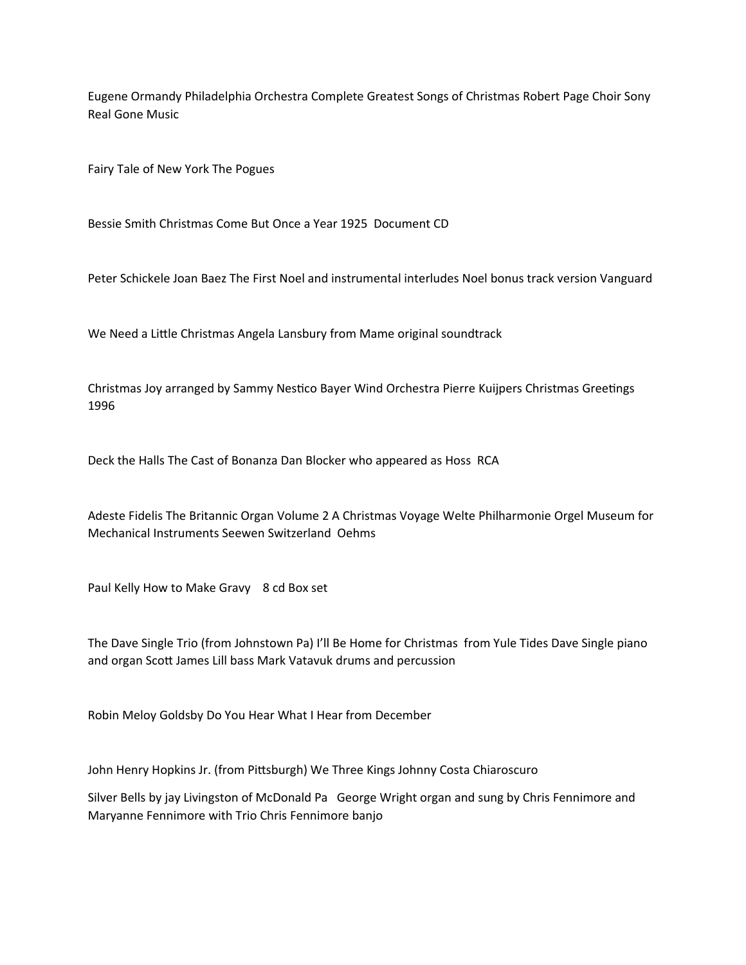Eugene Ormandy Philadelphia Orchestra Complete Greatest Songs of Christmas Robert Page Choir Sony Real Gone Music

Fairy Tale of New York The Pogues

Bessie Smith Christmas Come But Once a Year 1925 Document CD

Peter Schickele Joan Baez The First Noel and instrumental interludes Noel bonus track version Vanguard

We Need a Little Christmas Angela Lansbury from Mame original soundtrack

Christmas Joy arranged by Sammy Nestico Bayer Wind Orchestra Pierre Kuijpers Christmas Greetings 1996

Deck the Halls The Cast of Bonanza Dan Blocker who appeared as Hoss RCA

Adeste Fidelis The Britannic Organ Volume 2 A Christmas Voyage Welte Philharmonie Orgel Museum for Mechanical Instruments Seewen Switzerland Oehms

Paul Kelly How to Make Gravy 8 cd Box set

The Dave Single Trio (from Johnstown Pa) I'll Be Home for Christmas from Yule Tides Dave Single piano and organ Scott James Lill bass Mark Vatavuk drums and percussion

Robin Meloy Goldsby Do You Hear What I Hear from December

John Henry Hopkins Jr. (from Pittsburgh) We Three Kings Johnny Costa Chiaroscuro

Silver Bells by jay Livingston of McDonald Pa George Wright organ and sung by Chris Fennimore and Maryanne Fennimore with Trio Chris Fennimore banjo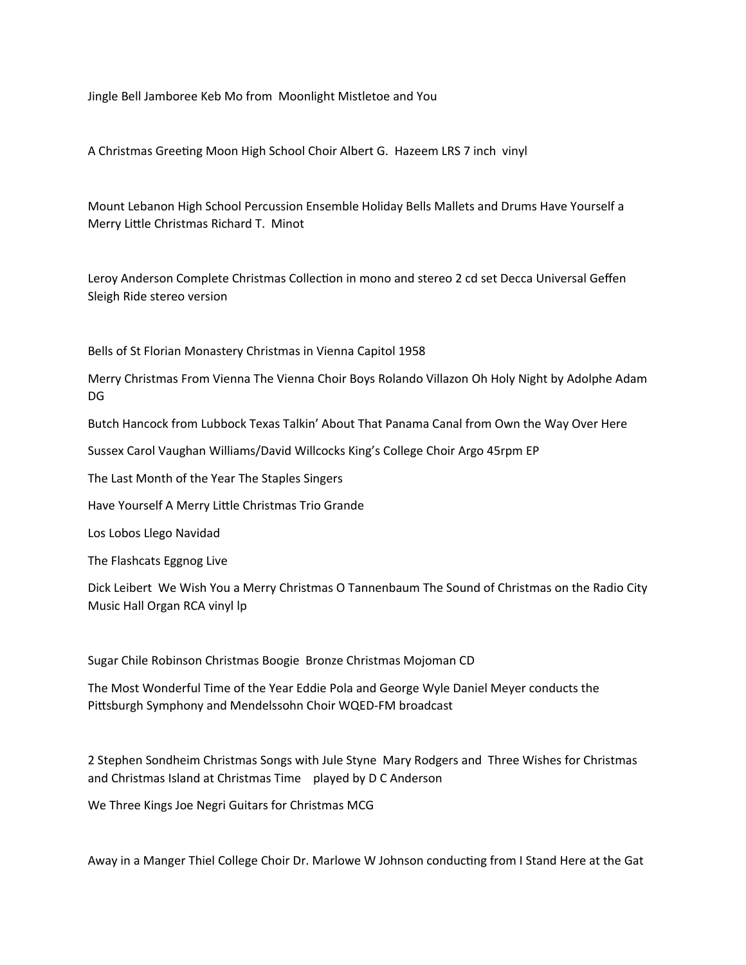Jingle Bell Jamboree Keb Mo from Moonlight Mistletoe and You

A Christmas Greeting Moon High School Choir Albert G. Hazeem LRS 7 inch vinyl

Mount Lebanon High School Percussion Ensemble Holiday Bells Mallets and Drums Have Yourself a Merry Little Christmas Richard T. Minot

Leroy Anderson Complete Christmas Collection in mono and stereo 2 cd set Decca Universal Geffen Sleigh Ride stereo version

Bells of St Florian Monastery Christmas in Vienna Capitol 1958

Merry Christmas From Vienna The Vienna Choir Boys Rolando Villazon Oh Holy Night by Adolphe Adam DG

Butch Hancock from Lubbock Texas Talkin' About That Panama Canal from Own the Way Over Here

Sussex Carol Vaughan Williams/David Willcocks King's College Choir Argo 45rpm EP

The Last Month of the Year The Staples Singers

Have Yourself A Merry Little Christmas Trio Grande

Los Lobos Llego Navidad

The Flashcats Eggnog Live

Dick Leibert We Wish You a Merry Christmas O Tannenbaum The Sound of Christmas on the Radio City Music Hall Organ RCA vinyl lp

Sugar Chile Robinson Christmas Boogie Bronze Christmas Mojoman CD

The Most Wonderful Time of the Year Eddie Pola and George Wyle Daniel Meyer conducts the Pittsburgh Symphony and Mendelssohn Choir WQED-FM broadcast

2 Stephen Sondheim Christmas Songs with Jule Styne Mary Rodgers and Three Wishes for Christmas and Christmas Island at Christmas Time played by D C Anderson

We Three Kings Joe Negri Guitars for Christmas MCG

Away in a Manger Thiel College Choir Dr. Marlowe W Johnson conducting from I Stand Here at the Gat